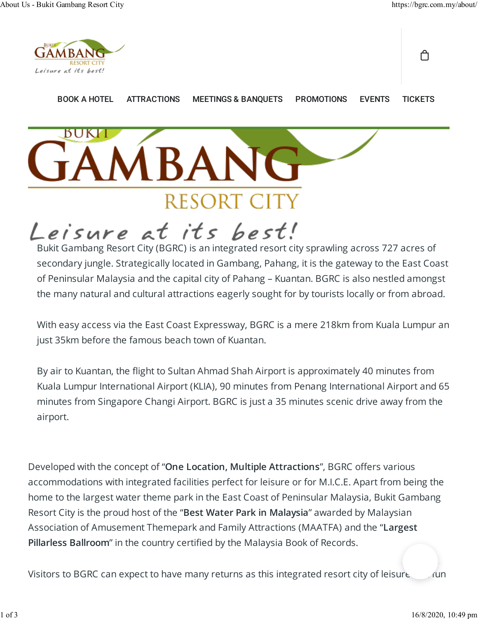ᠿ



**BUKI** 

BOOK A HOTEL ATTRACTIONS MEETINGS & BANQUETS PROMOTIONS EVENTS TICKETS

# **IBANG** RESORT C

## Leisure at its best!

Bukit Gambang Resort City (BGRC) is an integrated resort city sprawling across 727 acres of secondary jungle. Strategically located in Gambang, Pahang, it is the gateway to the East Coast of Peninsular Malaysia and the capital city of Pahang – Kuantan. BGRC is also nestled amongst the many natural and cultural attractions eagerly sought for by tourists locally or from abroad.

With easy access via the East Coast Expressway, BGRC is a mere 218km from Kuala Lumpur an just 35km before the famous beach town of Kuantan.

By air to Kuantan, the �ight to Sultan Ahmad Shah Airport is approximately 40 minutes from Kuala Lumpur International Airport (KLIA), 90 minutes from Penang International Airport and 65 minutes from Singapore Changi Airport. BGRC is just a 35 minutes scenic drive away from the airport.

Developed with the concept of "One Location, Multiple Attractions", BGRC offers various accommodations with integrated facilities perfect for leisure or for M.I.C.E. Apart from being the home to the largest water theme park in the East Coast of Peninsular Malaysia, Bukit Gambang Resort City is the proud host of the "Best Water Park in Malaysia" awarded by Malaysian Association of Amusement Themepark and Family Attractions (MAATFA) and the "Largest Pillarless Ballroom" in the country certified by the Malaysia Book of Records.

Visitors to BGRC can expect to have many returns as this integrated resort city of leisure and fun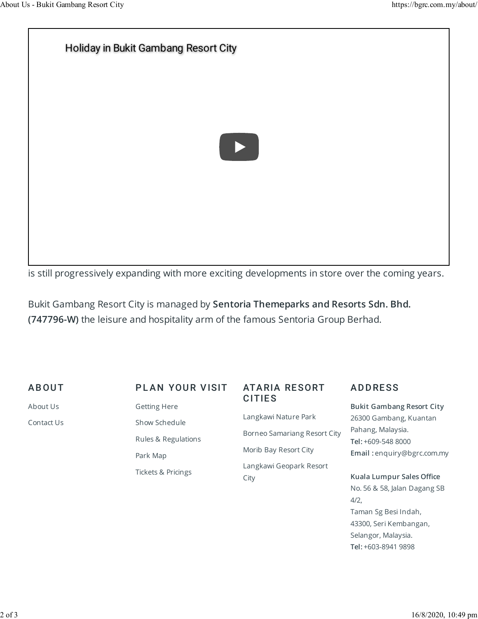### Holiday in Bukit Gambang Resort City



is still progressively expanding with more exciting developments in store over the coming years.

Bukit Gambang Resort City is managed by Sentoria Themeparks and Resorts Sdn. Bhd. (747796-W) the leisure and hospitality arm of the famous Sentoria Group Berhad.

#### **ABOUT**

About Us Contact Us

#### PLAN YOUR VISIT

Getting Here Show Schedule Rules & Regulations Park Map Tickets & Pricings

#### ATA RIA RE SORT **CITIES**

Langkawi Nature Park Borneo Samariang Resort City Morib Bay Resort City Langkawi Geopark Resort City

#### **ADDRESS**

Bukit Gambang Resort City 26300 Gambang, Kuantan Pahang, Malaysia. Tel: +609-548 8000 Email : enquiry@bgrc.com.my

#### Kuala Lumpur Sales Office No. 56 & 58, Jalan Dagang SB 4/2,

Taman Sg Besi Indah, 43300, Seri Kembangan, Selangor, Malaysia. Tel: +603-8941 9898